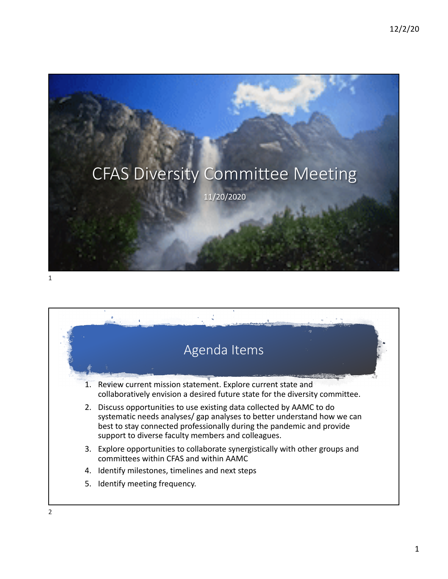

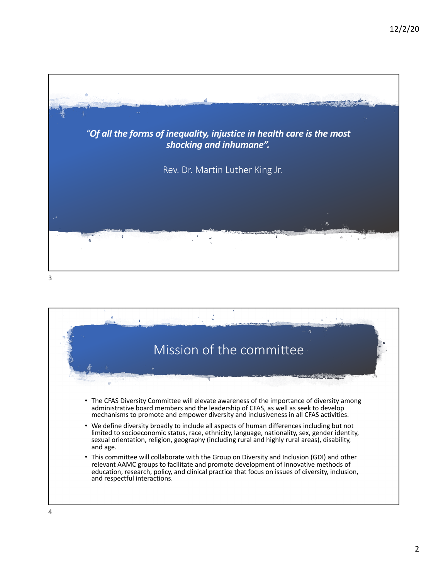